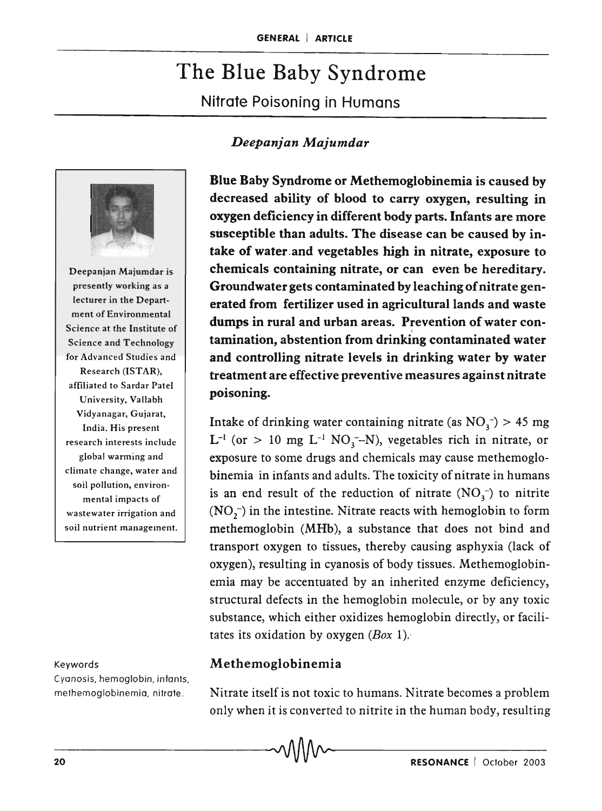# The Blue Baby Syndrome Nitrate Poisoning in Humans

## *Deepanjan Majumdar*



Deepanjan Majumdar is presently working as a lecturer in the Department of Environmental Science at the Institute of Science and Technology for Advanced Studies and Research (ISTAR), affiliated to Sardar Patel University, Vallabh Vidyanagar, Gujarat, India. His present research interests include global warming and climate change, water and soil pollution, environmental impacts of wastewater irrigation and soil nutrient management.

#### Keywords

Cyanosis, hemoglobin, infants, methemoglobinemia, nitrate.

Blue Baby Syndrome or Methemoglobinemia is caused by decreased ability of blood to carry oxygen, resulting in oxygen deficiency in different body parts. Infants are more susceptible than adults. The disease can be caused by intake of water .and vegetables high in nitrate, exposure to chemicals containing nitrate, or can even be hereditary. Groundwater gets contaminated by leaching of nitrate generated from fertilizer used in agricultural lands and waste dumps in rural and urban areas. Prevention of water contamination, abstention from drinking contaminated water and controlling nitrate levels in drinking water by water treatment are effective preventive measures against nitrate poisoning.

Intake of drinking water containing nitrate (as  $NO<sub>3</sub><sup>-</sup>$ ) > 45 mg  $L^{-1}$  (or > 10 mg  $L^{-1}$  NO<sub>3</sub><sup>-</sup>-N), vegetables rich in nitrate, or exposure to some drugs and chemicals may cause methemoglobinemia in infants and adults. The toxicity of nitrate in humans is an end result of the reduction of nitrate  $(NO<sub>3</sub><sup>-</sup>)$  to nitrite  $(NO<sub>2</sub><sup>-</sup>)$  in the intestine. Nitrate reacts with hemoglobin to form methemoglobin (MHb), a substance that does not bind and transport oxygen to tissues, thereby causing asphyxia (lack of oxygen), resulting in cyanosis of body tissues. Methemoglobinemia may be accentuated by an inherited enzyme deficiency, structural defects in the hemoglobin molecule, or by any toxic substance, which either oxidizes hemoglobin directly, or facilitates its oxidation by oxygen *(Box* l) ..

#### Methemoglobinemia

Nitrate itself is not toxic to humans. Nitrate becomes a problem only when it is converted to nitrite in the human body, resulting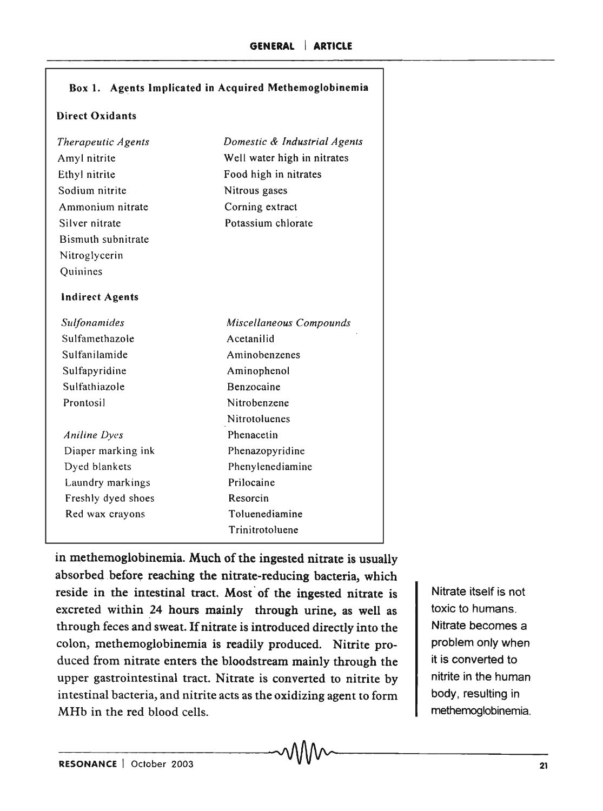| Box 1. Agents Implicated in Acquired Methemoglobinemia<br><b>Direct Oxidants</b> |                             |
|----------------------------------------------------------------------------------|-----------------------------|
|                                                                                  |                             |
| Amyl nitrite                                                                     | Well water high in nitrates |
| Ethyl nitrite                                                                    | Food high in nitrates       |
| Sodium nitrite                                                                   | Nitrous gases               |
| Ammonium nitrate                                                                 | Corning extract             |
| Silver nitrate                                                                   | Potassium chlorate          |
| Bismuth subnitrate                                                               |                             |
| Nitroglycerin                                                                    |                             |
| Quinines                                                                         |                             |
| <b>Indirect Agents</b>                                                           |                             |
| Sulfonamides                                                                     | Miscellaneous Compounds     |
| Sulfamethazole                                                                   | Acetanilid                  |
| Sulfanilamide                                                                    | Aminobenzenes               |
| Sulfapyridine                                                                    | Aminophenol                 |
| Sulfathiazole                                                                    | Benzocaine                  |
| Prontosil                                                                        | Nitrobenzene                |
|                                                                                  | Nitrotoluenes               |
| <b>Aniline Dyes</b>                                                              | Phenacetin                  |
| Diaper marking ink                                                               | Phenazopyridine             |
| Dyed blankets                                                                    | Phenylenediamine            |
| Laundry markings                                                                 | Prilocaine                  |
| Freshly dyed shoes                                                               | Resorcin                    |
| Red wax crayons                                                                  | Toluenediamine              |
|                                                                                  | Trinitrotoluene             |

in methemoglobinemia. Much of the ingested nitrate is usually absorbed before reaching the nitrate-reducing bacteria, which reside in the intestinal tract. Most' of the ingested nitrate is excreted within 24 hours mainly through urine, as well as through feces and sweat. If nitrate is introduced directly into the colon, methemoglobinemia is readily produced. Nitrite produced from nitrate enters the bloodstream mainly through the upper gastrointestinal tract. Nitrate is converted to nitrite by intestinal bacteria, and nitrite acts as the oxidizing agent to form MHb in the red blood cells.

Nitrate itself is not toxic to humans. Nitrate becomes a problem only when it is converted to nitrite in the human body, resulting in methemoglobinemia.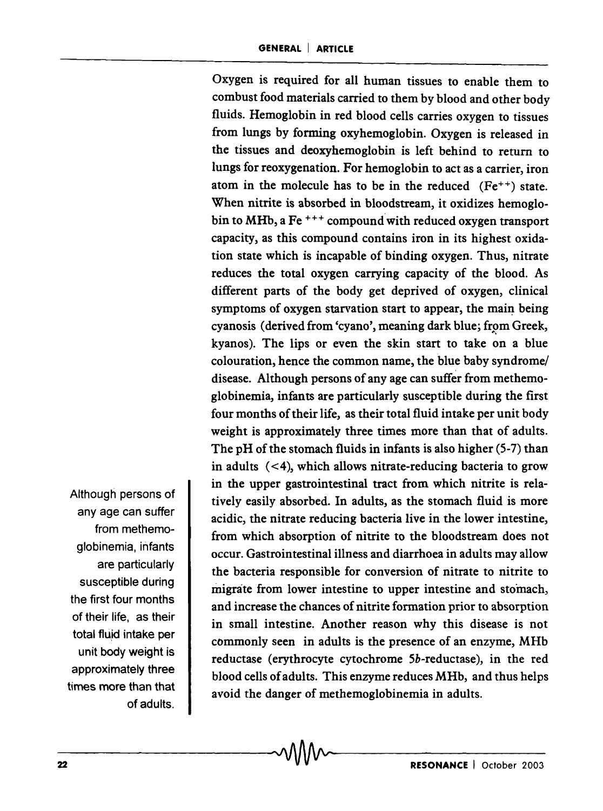Oxygen is required for all human tissues to enable them to combust food materials carried to them by blood and other body fluids. Hemoglobin in red blood cells carries oxygen to tissues from lungs by forming oxyhemoglobin. Oxygen is released in the tissues and deoxyhemoglobin is left behind to return to lungs for reoxygenation. For hemoglobin to act as a carrier, iron atom in the molecule has to be in the reduced  $(Fe^{+})$  state. When nitrite is absorbed in bloodstream, it oxidizes hemoglobin to MHb, a Fe<sup>+++</sup> compound with reduced oxygen transport capacity, as this compound contains iron in its highest oxidation state which is incapable of binding oxygen. Thus, nitrate reduces the total oxygen carrying capacity of the blood. As different parts of the body get deprived of oxygen, clinical symptoms of oxygen starvation start to appear, the main being cyanosis (derived from 'cyano', meaning dark blue; from Greek, .... kyanos). The lips or even the skin start to take on a blue colouration, hence the common name, the blue baby syndrome/ disease. Although persons of any age can suffer from methemoglobinemia, infants are particularly susceptible during the first four months of their life, as their total fluid intake per unit body weight is approximately three times more than that of adults. The pH of the stomach fluids in infants is also higher (5-7) than in adults  $(< 4)$ , which allows nitrate-reducing bacteria to grow in the upper gastrointestinal tract from which nitrite is relatively easily absorbed. In adults, as the stomach fluid is more acidic, the nitrate reducing bacteria live in the lower intestine, from which absorption of nitrite to the bloodstream does not occur. Gastrointestinal illness and diarrhoea in adults may allow the bacteria responsible for conversion of nitrate to nitrite to migrate from lower intestine to upper intestine and stomach, and increase the chances of nitrite formation prior to absorption in small intestine. Another reason why this disease is not commonly seen in adults is the presence of an enzyme, MHb reductase (erythrocyte cytochrome 5b-reductase), in the red blood cells of adults. This enzyme reduces MHb, and thus helps avoid the danger of methemoglobinemia in adults.

Although persons of any age can suffer from methemoglobinemia, infants are particularly susceptible during the first four months of their life, as their total fluid intake per unit body weight is approximately three times more than that of adults.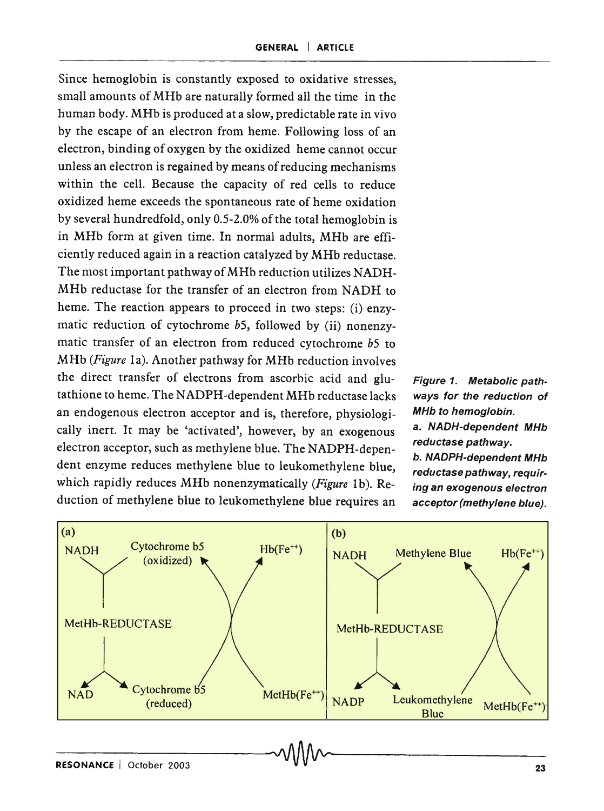Since hemoglobin is constantly exposed to oxidative stresses, small amounts of MHb are naturally formed all the time in the human body. MHb is produced at a slow, predictable rate in vivo by the escape of an electron from heme. Following loss of an electron, binding of oxygen by the oxidized heme cannot occur unless an electron is regained by means of reducing mechanisms within the cell. Because the capacity of red cells to reduce oxidized heme exceeds the spontaneous rate of heme oxidation by several hundredfold, only 0.5-2.0% of the total hemoglobin is in MHb form at given time. In normal adults, MHb are efficiently reduced again in a reaction catalyzed by MHb reductase. The most important pathway of MHb reduction utilizes NADH-MHb reductase for the transfer of an electron from NADH to heme. The reaction appears to proceed in two steps: (i) enzymatic reduction of cytochrome *b5,* followed by (ii) nonenzymatic transfer of an electron from reduced cytochrome  $b5$  to MHb *(Figure* 1 a). Another pathway for MHb reduction involves the direct transfer of electrons from ascorbic acid and glutathione to heme. The NADPH-dependent MHb reductase lacks an endogenous electron acceptor and is, therefore, physiologically inert. It may be 'activated', however, by an exogenous electron acceptor, such as methylene blue. The NADPH-dependent enzyme reduces methylene blue to leukomethylene blue, which rapidly reduces MHb nonenzymatically *(Figure* lb). Reduction of methylene blue to leukomethylene blue requires an

Figure 1. Metabolic pathways for the reduction of MHb to hemoglobin.

a. NADH-dependent MHb reductase pathway.

b. NADPH-dependent MHb reductase pathway, requiring an exogenous electron acceptor (methylene blue).

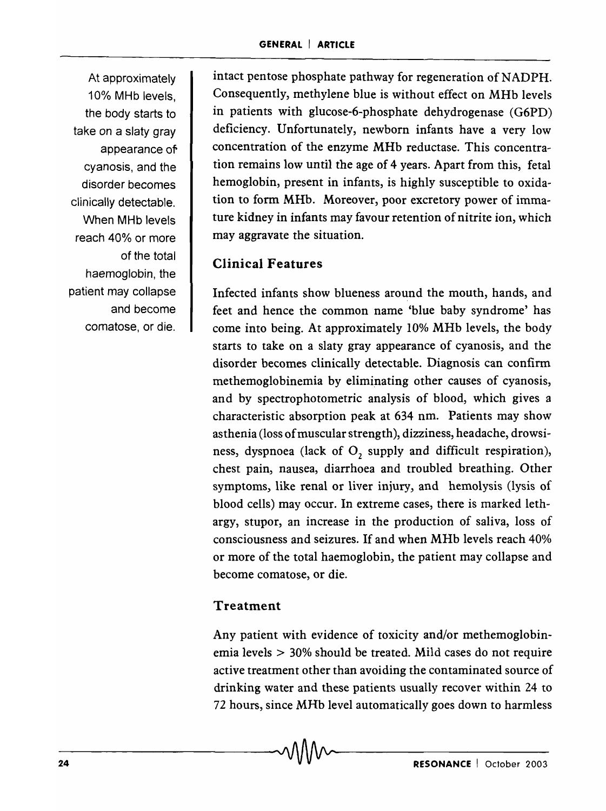At approximately 10% MHb levels, the body starts to take on a slaty gray appearance of cyanosis, and the disorder becomes clinically detectable. When MHb levels reach 40% or more of the total haemoglobin, the patient may collapse and become comatose, or die.

intact pentose phosphate pathway for regeneration of NADPH. Consequently, methylene blue is without effect on MHb levels in patients with glucose-6-phosphate dehydrogenase (G6PD) deficiency. Unfortunately, newborn infants have a very low concentration of the enzyme MHb reductase. This concentra~ tion remains low until the age of 4 years. Apart from this, fetal hemoglobin, present in infants, is highly susceptible to oxidation to form MHb. Moreover, poor excretory power of immature kidney in infants may favour retention of nitrite ion, which may aggravate the situation.

## Clinical Features

Infected infants show blueness around the mouth, hands, and feet and hence the common name 'blue baby syndrome' has come into being. At approximately 10% MHb levels, the body starts to take on a slaty gray appearance of cyanosis, and the disorder becomes clinically detectable. Diagnosis can confirm methemoglobinemia by eliminating other causes of cyanosis, and by spectrophotometric analysis of blood, which gives a characteristic absorption peak at 634 nm. Patients may show asthenia (loss of muscular strength), dizziness, headache, drowsiness, dyspnoea (lack of  $O_2$  supply and difficult respiration), chest pain, nausea, diarrhoea and troubled breathing. Other symptoms, like renal or liver injury, and hemolysis (lysis of blood cells) may occur. In extreme cases, there is marked lethargy, stupor, an increase in the production of saliva, loss of consciousness and seizures. If and when MHb levels reach 40% or more of the total haemoglobin, the patient may collapse and become comatose, or die.

## Treatment

Any patient with evidence of toxicity and/or methemoglobinemia levels > 30% should be treated. Mild cases do not require active treatment other than avoiding the contaminated source of drinking water and these patients usually recover within 24 to 72 hours, since MHb level automatically goes down to harmless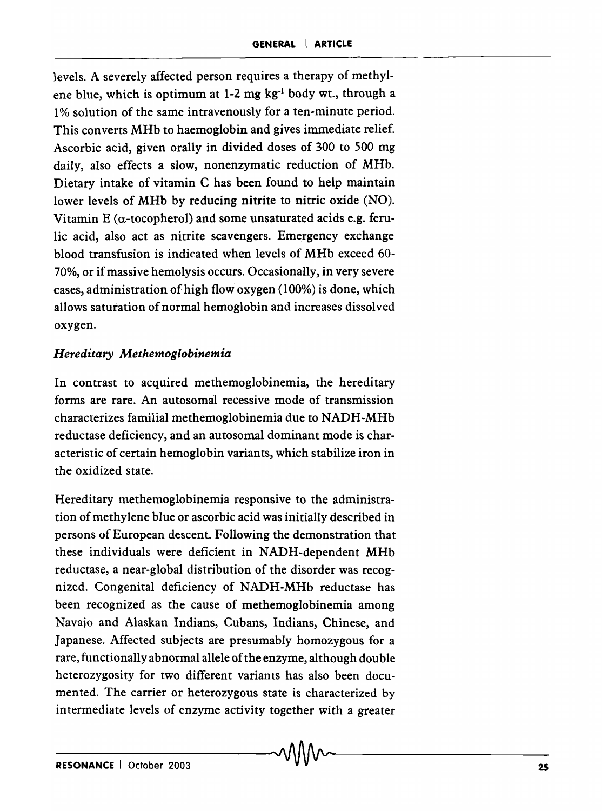levels. A severely affected person requires a therapy of methylene blue, which is optimum at  $1-2$  mg kg<sup>-1</sup> body wt., through a 1% solution of the same intravenously for a ten-minute period. This converts MHb to haemoglobin and gives immediate relief. Ascorbic acid, given orally in divided doses of 300 to 500 mg daily, also effects a slow, nonenzymatic reduction of MHb. Dietary intake of vitamin C has been found to help maintain lower levels of MHb by reducing nitrite to nitric oxide (NO). Vitamin E ( $\alpha$ -tocopherol) and some unsaturated acids e.g. ferulie acid, also act as nitrite scavengers. Emergency exchange blood transfusion is indicated when levels of MHb exceed 60- 70%, or if massive hemolysis occurs. Occasionally, in very severe cases, administration of high flow oxygen (100%) is done, which allows saturation of normal hemoglobin and increases dissolved oxygen.

#### *Hereditary Methemoglobinemia*

In contrast to acquired methemoglobinemia, the hereditary forms are rare. An autosomal recessive mode of transmission characterizes familial methemoglobinemia due to NADH-MHb reductase deficiency, and an autosomal dominant mode is characteristic of certain hemoglobin variants, which stabilize iron in the oxidized state.

Hereditary methemoglobinemia responsive to the administration of methylene blue or ascorbic acid was initially described in persons of European descent. Following the demonstration that these individuals were deficient in NADH-dependent MHb reductase, a near-global distribution of the disorder was recognized. Congenital deficiency of NADH-MHb reductase has been recognized as the cause of methemoglobinemia among Navajo and Alaskan Indians, Cubans, Indians, Chinese, and Japanese. Affected subjects are presumably homozygous for a rare, functionally abnormal allele of the enzyme, although double heterozygosity for two different variants has also been documented. The carrier or heterozygous state is characterized by intermediate levels of enzyme activity together with a greater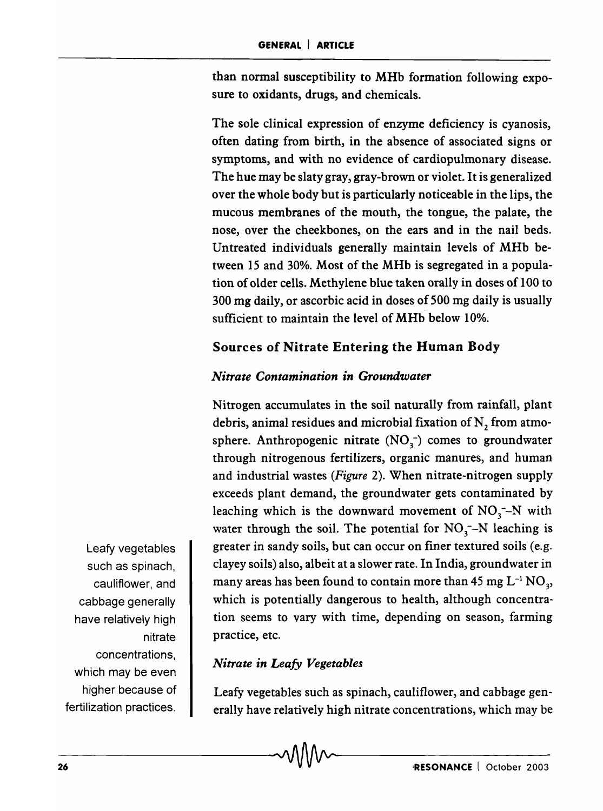than normal susceptibility to MHb formation following exposure to oxidants, drugs, and chemicals.

The sole clinical expression of enzyme deficiency is cyanosis, often dating from birth, in the absence of associated signs or symptoms, and with no evidence of cardiopulmonary disease. The hue may be slaty gray, gray-brown or violet. It is generalized over the whole body but is particularly noticeable in the lips, the mucous membranes of the mouth, the tongue, the palate, the nose, over the cheekbones, on the ears and in the nail beds. Untreated individuals generally maintain levels of MHb between 15 and 30%. Most of the MHb is segregated in a population of older cells. Methylene blue taken orally in doses of 100 to 300 mg daily, or ascorbic acid in doses of 500 mg daily is usually sufficient to maintain the level of MHb below 10%.

#### Sources of Nitrate Entering the Human Body

#### *Nitrate Contamination in Groundwater*

Nitrogen accumulates in the soil naturally from rainfall, plant debris, animal residues and microbial fixation of  $N$ , from atmosphere. Anthropogenic nitrate  $(NO<sub>3</sub><sup>-</sup>)$  comes to groundwater through nitrogenous fertilizers, organic manures, and human and industrial wastes *(Figure* 2). When nitrate-nitrogen supply exceeds plant demand, the groundwater gets contaminated by leaching which is the downward movement of  $NO<sub>3</sub><sup>-</sup>-N$  with water through the soil. The potential for  $NO<sub>3</sub>$ -N leaching is greater in sandy soils, but can occur on finer textured soils (e.g. clayey soils) also, albeit at a slower rate. In India, groundwater in many areas has been found to contain more than 45 mg  $\rm L^{-1} \, NO_{32}$ which is potentially dangerous to health, although concentration seems to vary with time, depending on season, farming practice, etc.

#### *Nitrate in Leafy Vegetables*

Leafy vegetables such as spinach, cauliflower, and cabbage generally have relatively high nitrate concentrations, which may be

Leafy vegetables such as spinach, cauliflower, and cabbage generally have relatively high nitrate concentrations, which may be even higher because of fertilization practices.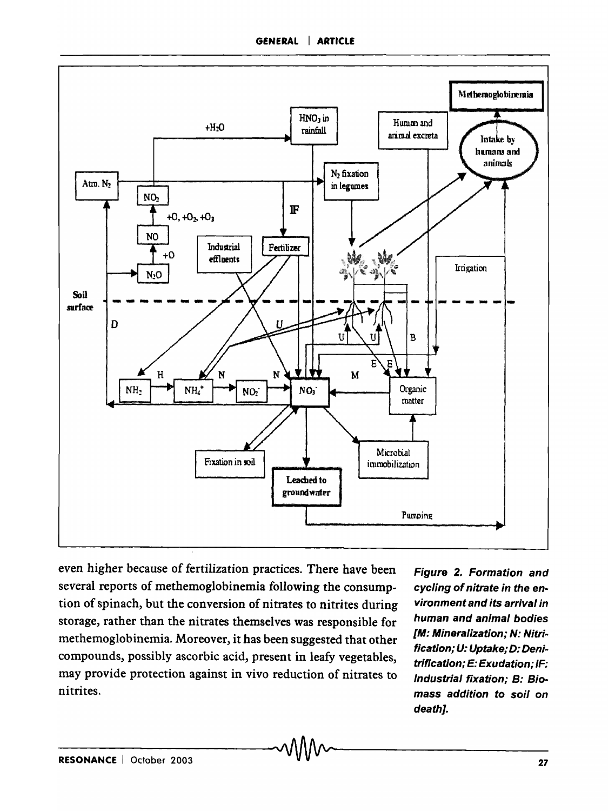GENERAL | ARTICLE



even higher because of fertilization practices. There have been several reports of methemoglobinemia following the consumption of spinach, but the conversion of nitrates to nitrites during storage, rather than the nitrates themselves was responsible for methemoglobinemia. Moreover, it has been suggested that other compounds, possibly ascorbic acid, present in leafy vegetables, may provide protection against in vivo reduction of nitrates to nitrites.

Figure 2. Formation and cycling of nitrate in the environment and its arrival in human and animal bodies [M: Mineralization; N: Nitrification; U: Uptake; D: Denitrification; E: Exudation; IF: Industrial fixation; B: Biomass addition to soil on death].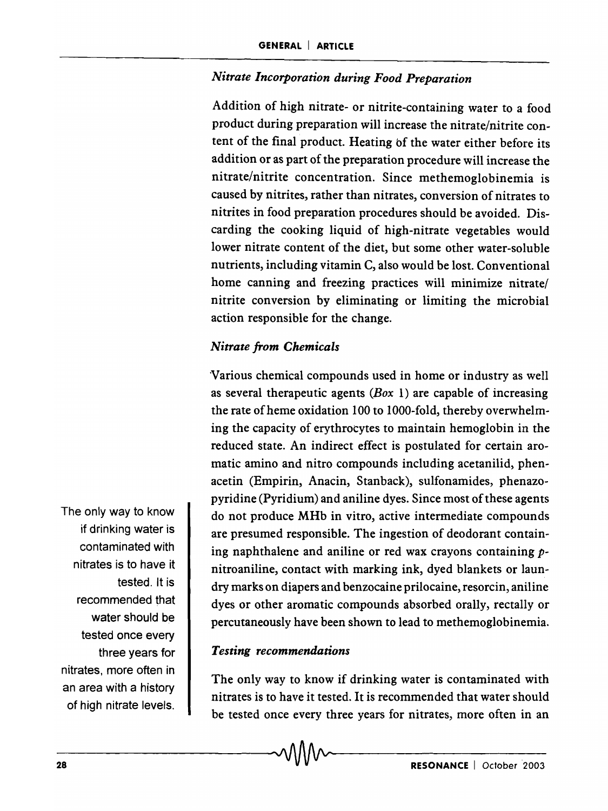#### *Nitrate Incorporation during Food Preparation*

Addition of high nitrate- or nitrite-containing water to a food product during preparation will increase the nitrate/nitrite content of the final product. Heating of the water either before its addition or as part of the preparation procedure will increase the nitrate/nitrite concentration. Since methemoglobinemia is caused by nitrites, rather than nitrates, conversion of nitrates to nitrites in food preparation procedures should be avoided. Discarding the cooking liquid of high-nitrate vegetables would lower nitrate content of the diet, but some other water-soluble nutrients, including vitamin C, also would be lost. Conventional home canning and freezing practices will minimize nitrate/ nitrite conversion by eliminating or limiting the microbial action responsible for the change.

#### *Nitrate from Chemicals*

Various chemical compounds used in home or industry as well as several therapeutic agents *(Box* 1) are capable of increasing the rate of heme oxidation 100 to 1000-fold, thereby overwhelming the capacity of erythrocytes to maintain hemoglobin in the reduced state. An indirect effect is postulated for certain aromatic amino and nitro compounds including acetanilid, phenacetin (Empirin, Anacin, Stanback), sulfonamides, phenazopyridine (Pyridium) and aniline dyes. Since most of these agents do not produce MHb in vitro, active intermediate compounds are presumed responsible. The ingestion of deodorant containing naphthalene and aniline or red wax crayons containing  $p$ nitro aniline, contact with marking ink, dyed blankets or laundry marks on diapers and benzocaine prilocaine, resorcin, aniline dyes or other aromatic compounds absorbed orally, rectally or percutaneously have been shown to lead to methemoglobinemia.

#### *Testing recommendations*

The only way to know if drinking water is contaminated with nitrates is to have it tested. It is recommended that water should be tested once every three years for nitrates, more often in an

The only way to know if drinking water is contaminated with nitrates is to have it tested. It is recommended that water should be tested once every three years for nitrates, more often in an area with a history of high nitrate levels.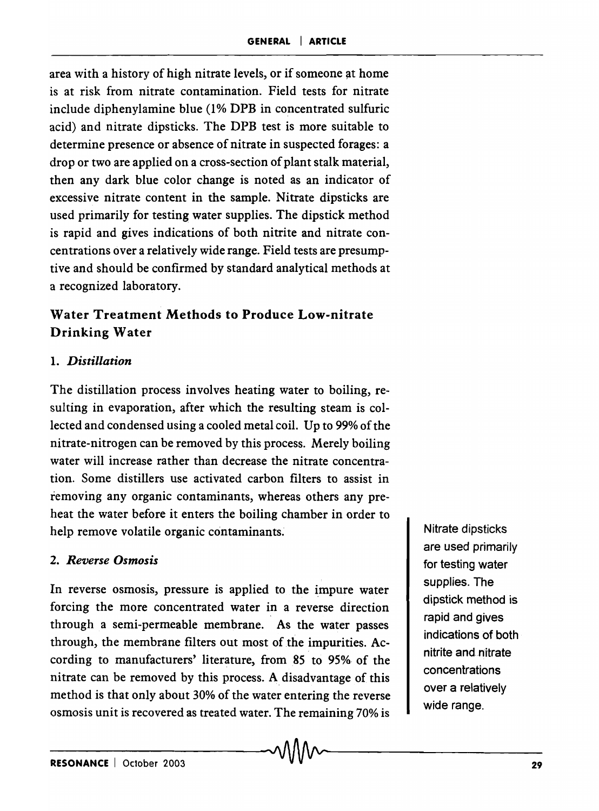area with a history of high nitrate levels, or if someone at home is at risk from nitrate contamination. Field tests for nitrate include diphenylamine blue (1% DPB in concentrated sulfuric acid) and nitrate dipsticks. The DPB test is more suitable to determine presence or absence of nitrate in suspected forages: a drop or two are applied on a cross-section of plant stalk material, then any dark blue color change is noted as an indicator of excessive nitrate content in the sample. Nitrate dipsticks are used primarily for testing water supplies. The dipstick method is rapid and gives indications of both nitrite and nitrate concentrations over a relatively wide range. Field tests are presumptive and should be confirmed by standard analytical methods at a recognized laboratory.

## Water Treatment Methods to Produce Low-nitrate Drinking Water

### *1. Distillation*

The distillation process involves heating water to boiling, resulting in evaporation, after which the resulting steam is collected and condensed using a cooled metal coil. Up to 99% of the nitrate-nitrogen can be removed by this process. Merely boiling water will increase rather than decrease the nitrate concentration. Some distillers use activated carbon filters to assist in removing any organic contaminants, whereas others any preheat the water before it enters the boiling chamber in order to help remove volatile organic contaminants.

### *2. Reverse Osmosis*

In reverse osmosis, pressure is applied to the impure water forcing the more concentrated water in a reverse direction through a semi-permeable membrane. As the water passes through, the membrane filters out most of the impurities. According to manufacturers' literature, from 85 to 95%· of the nitrate can be removed by this process. A. disadvantage of this method is that only about 30% of the water entering the reverse osmosis unit is recovered as treated water. The remaining 70% is Nitrate dipsticks are used primarily for testing water supplies. The dipstick method is rapid and gives indications of both nitrite and.nitrate concentrations over a relatively wide range.